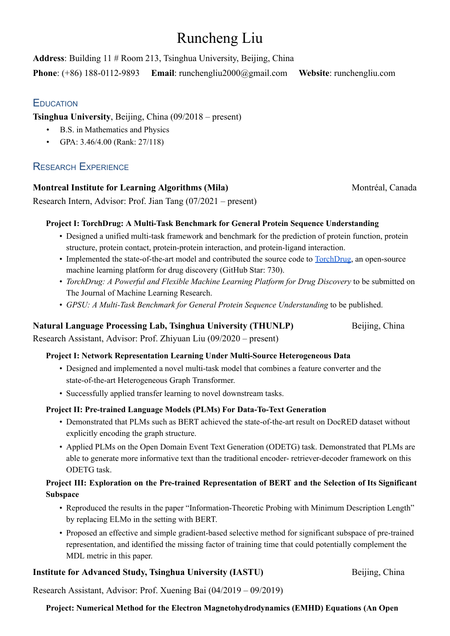# Runcheng Liu

**Address**: Building 11 # Room 213, Tsinghua University, Beijing, China **Phone**: (+86) 188-0112-9893 **Email**: [runchengliu2000@gmail.com](mailto:runchengliu2000@gmail.com%20) **Website**: runchengliu.com

## **EDUCATION**

**Tsinghua University**, Beijing, China (09/2018 – present)

- B.S. in Mathematics and Physics
- GPA: 3.46/4.00 (Rank: 27/118)

# RESEARCH EXPERIENCE

## **Montreal Institute for Learning Algorithms (Mila)** Montréal, Canada

Research Intern, Advisor: Prof. Jian Tang (07/2021 – present)

## **Project I: TorchDrug: A Multi-Task Benchmark for General Protein Sequence Understanding**

- Designed a unified multi-task framework and benchmark for the prediction of protein function, protein structure, protein contact, protein-protein interaction, and protein-ligand interaction.
- Implemented the state-of-the-art model and contributed the source code to [TorchDrug](https://github.com/DeepGraphLearning/torchdrug/), an open-source machine learning platform for drug discovery (GitHub Star: 730).
- *TorchDrug: A Powerful and Flexible Machine Learning Platform for Drug Discovery* to be submitted on The Journal of Machine Learning Research.
- *GPSU: A Multi-Task Benchmark for General Protein Sequence Understanding* to be published.

## **Natural Language Processing Lab, Tsinghua University (THUNLP)** Beijing, China

Research Assistant, Advisor: Prof. Zhiyuan Liu (09/2020 – present)

## **Project I: Network Representation Learning Under Multi-Source Heterogeneous Data**

- Designed and implemented a novel multi-task model that combines a feature converter and the state-of-the-art Heterogeneous Graph Transformer.
- Successfully applied transfer learning to novel downstream tasks.

## **Project II: Pre-trained Language Models (PLMs) For Data-To-Text Generation**

- Demonstrated that PLMs such as BERT achieved the state-of-the-art result on DocRED dataset without explicitly encoding the graph structure.
- Applied PLMs on the Open Domain Event Text Generation (ODETG) task. Demonstrated that PLMs are able to generate more informative text than the traditional encoder- retriever-decoder framework on this ODETG task.

## **Project III: Exploration on the Pre-trained Representation of BERT and the Selection of Its Significant Subspace**

- Reproduced the results in the paper "Information-Theoretic Probing with Minimum Description Length" by replacing ELMo in the setting with BERT.
- Proposed an effective and simple gradient-based selective method for significant subspace of pre-trained representation, and identified the missing factor of training time that could potentially complement the MDL metric in this paper.

## **Institute for Advanced Study, Tsinghua University (IASTU)** Beijing, China

Research Assistant, Advisor: Prof. Xuening Bai (04/2019 – 09/2019)

## **Project: Numerical Method for the Electron Magnetohydrodynamics (EMHD) Equations (An Open**